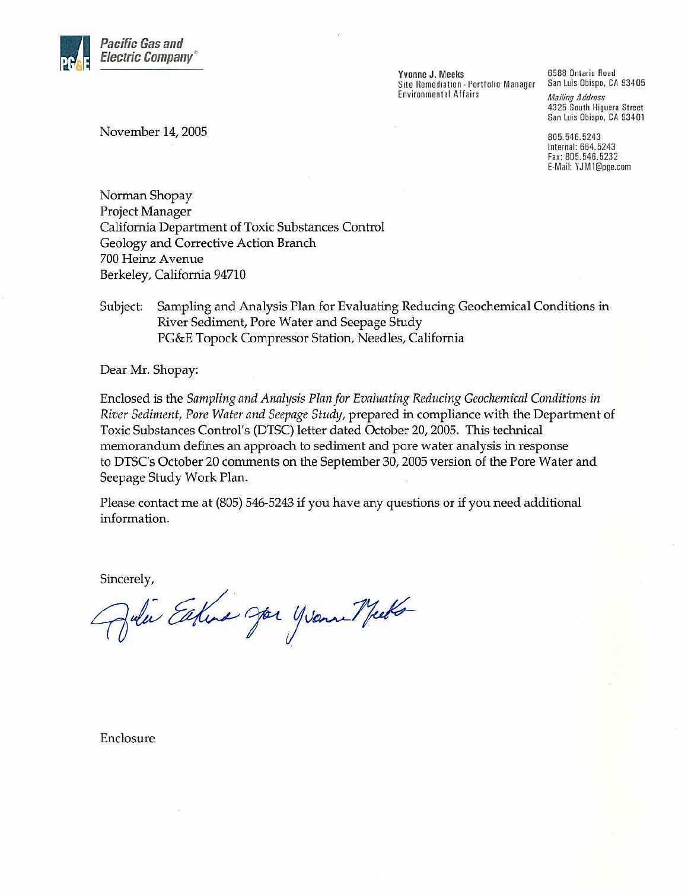

Yvonne J. Meeks Site Remediation - Portfolio Manager Environmental Affairs

6588 Ontario Road San Luis Obispo, CA 93405

**Mailing Address** 4325 South Higuera Street San Luis Obispo, CA 93401

805.546.5243 Internal: 664.5243 Fax: 805.546.5232 E-Mail: YJM1@pge.com

November 14, 2005

Norman Shopay Project Manager California Department of Toxic Substances Control Geology and Corrective Action Branch 700 Heinz Avenue Berkeley, California 94710

Sampling and Analysis Plan for Evaluating Reducing Geochemical Conditions in Subject: River Sediment, Pore Water and Seepage Study PG&E Topock Compressor Station, Needles, California

Dear Mr. Shopay:

Enclosed is the Sampling and Analysis Plan for Evaluating Reducing Geochemical Conditions in River Sediment, Pore Water and Seepage Study, prepared in compliance with the Department of Toxic Substances Control's (DTSC) letter dated October 20, 2005. This technical memorandum defines an approach to sediment and pore water analysis in response to DTSC's October 20 comments on the September 30, 2005 version of the Pore Water and Seepage Study Work Plan.

Please contact me at (805) 546-5243 if you have any questions or if you need additional information.

Sincerely,

Julie Eature Joe yearne Meets

Enclosure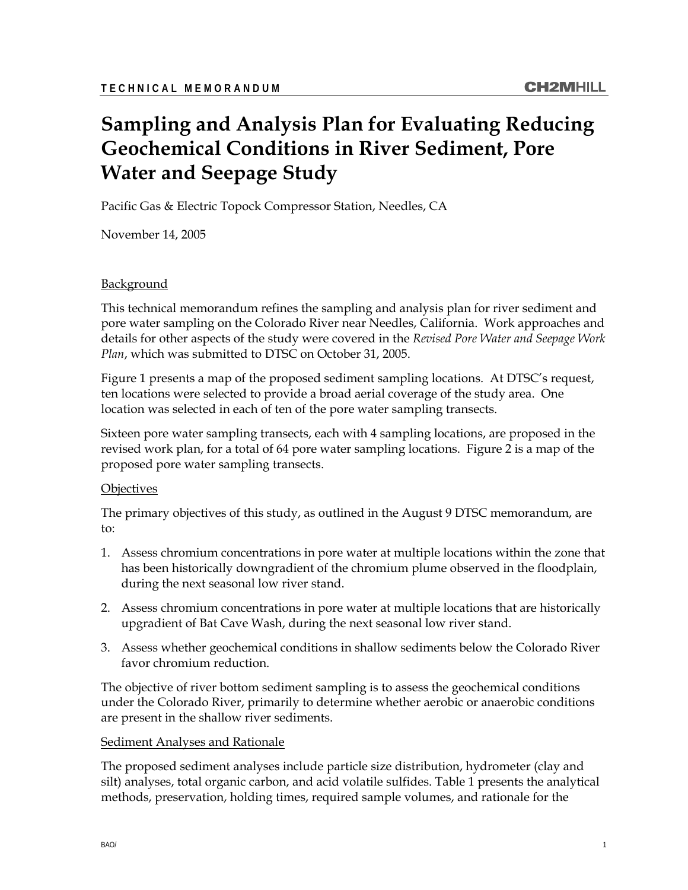# **Sampling and Analysis Plan for Evaluating Reducing Geochemical Conditions in River Sediment, Pore Water and Seepage Study**

Pacific Gas & Electric Topock Compressor Station, Needles, CA

November 14, 2005

#### Background

This technical memorandum refines the sampling and analysis plan for river sediment and pore water sampling on the Colorado River near Needles, California. Work approaches and details for other aspects of the study were covered in the *Revised Pore Water and Seepage Work Plan*, which was submitted to DTSC on October 31, 2005.

Figure 1 presents a map of the proposed sediment sampling locations. At DTSC's request, ten locations were selected to provide a broad aerial coverage of the study area. One location was selected in each of ten of the pore water sampling transects.

Sixteen pore water sampling transects, each with 4 sampling locations, are proposed in the revised work plan, for a total of 64 pore water sampling locations. Figure 2 is a map of the proposed pore water sampling transects.

#### **Objectives**

The primary objectives of this study, as outlined in the August 9 DTSC memorandum, are to:

- 1. Assess chromium concentrations in pore water at multiple locations within the zone that has been historically downgradient of the chromium plume observed in the floodplain, during the next seasonal low river stand.
- 2. Assess chromium concentrations in pore water at multiple locations that are historically upgradient of Bat Cave Wash, during the next seasonal low river stand.
- 3. Assess whether geochemical conditions in shallow sediments below the Colorado River favor chromium reduction.

The objective of river bottom sediment sampling is to assess the geochemical conditions under the Colorado River, primarily to determine whether aerobic or anaerobic conditions are present in the shallow river sediments.

#### **Sediment Analyses and Rationale**

The proposed sediment analyses include particle size distribution, hydrometer (clay and silt) analyses, total organic carbon, and acid volatile sulfides. Table 1 presents the analytical methods, preservation, holding times, required sample volumes, and rationale for the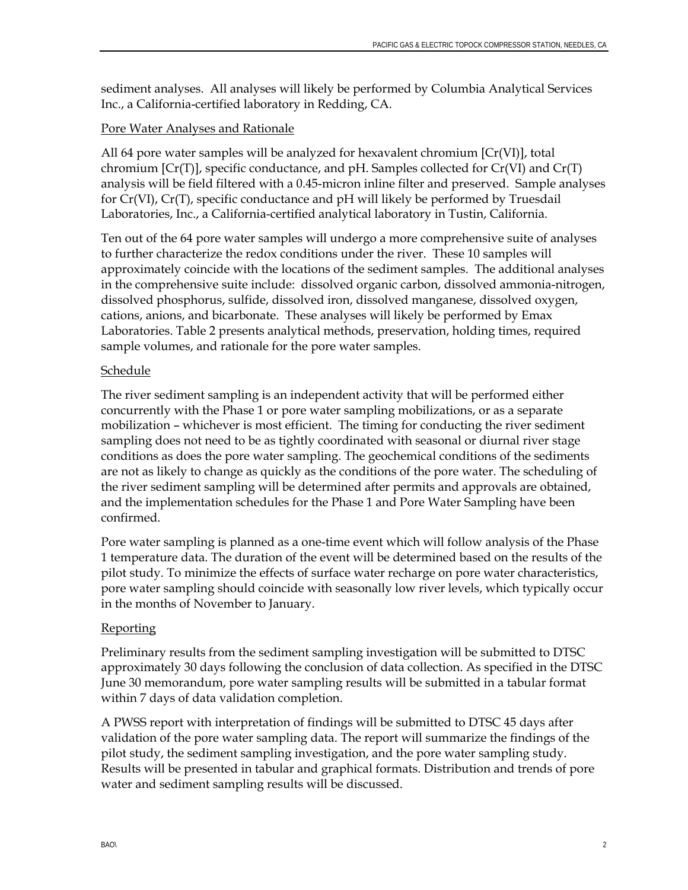sediment analyses. All analyses will likely be performed by Columbia Analytical Services Inc., a California-certified laboratory in Redding, CA.

#### Pore Water Analyses and Rationale

All 64 pore water samples will be analyzed for hexavalent chromium [Cr(VI)], total chromium  $[Cr(T)]$ , specific conductance, and pH. Samples collected for  $Cr(VI)$  and  $Cr(T)$ analysis will be field filtered with a 0.45-micron inline filter and preserved. Sample analyses for Cr(VI), Cr(T), specific conductance and pH will likely be performed by Truesdail Laboratories, Inc., a California-certified analytical laboratory in Tustin, California.

Ten out of the 64 pore water samples will undergo a more comprehensive suite of analyses to further characterize the redox conditions under the river. These 10 samples will approximately coincide with the locations of the sediment samples. The additional analyses in the comprehensive suite include: dissolved organic carbon, dissolved ammonia-nitrogen, dissolved phosphorus, sulfide, dissolved iron, dissolved manganese, dissolved oxygen, cations, anions, and bicarbonate. These analyses will likely be performed by Emax Laboratories. Table 2 presents analytical methods, preservation, holding times, required sample volumes, and rationale for the pore water samples.

### Schedule

The river sediment sampling is an independent activity that will be performed either concurrently with the Phase 1 or pore water sampling mobilizations, or as a separate mobilization – whichever is most efficient. The timing for conducting the river sediment sampling does not need to be as tightly coordinated with seasonal or diurnal river stage conditions as does the pore water sampling. The geochemical conditions of the sediments are not as likely to change as quickly as the conditions of the pore water. The scheduling of the river sediment sampling will be determined after permits and approvals are obtained, and the implementation schedules for the Phase 1 and Pore Water Sampling have been confirmed.

Pore water sampling is planned as a one-time event which will follow analysis of the Phase 1 temperature data. The duration of the event will be determined based on the results of the pilot study. To minimize the effects of surface water recharge on pore water characteristics, pore water sampling should coincide with seasonally low river levels, which typically occur in the months of November to January.

#### **Reporting**

Preliminary results from the sediment sampling investigation will be submitted to DTSC approximately 30 days following the conclusion of data collection. As specified in the DTSC June 30 memorandum, pore water sampling results will be submitted in a tabular format within 7 days of data validation completion.

A PWSS report with interpretation of findings will be submitted to DTSC 45 days after validation of the pore water sampling data. The report will summarize the findings of the pilot study, the sediment sampling investigation, and the pore water sampling study. Results will be presented in tabular and graphical formats. Distribution and trends of pore water and sediment sampling results will be discussed.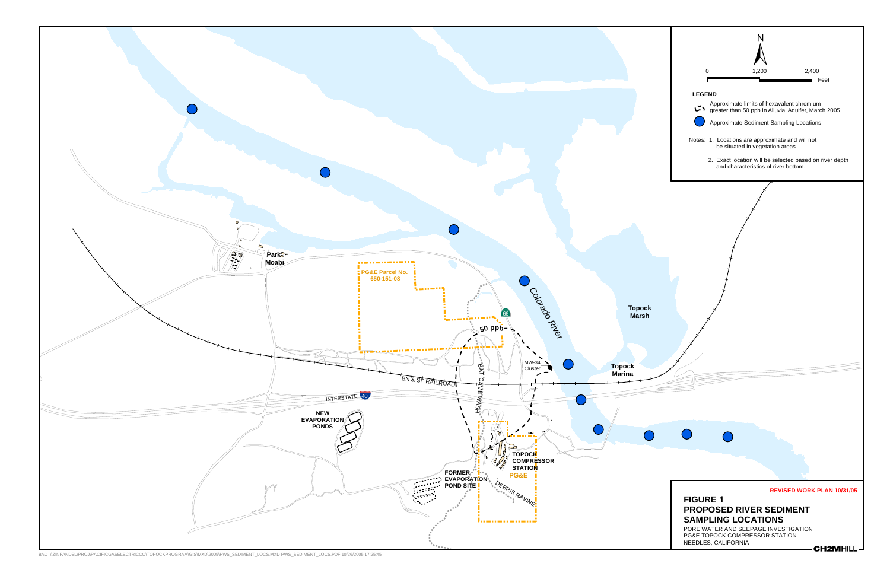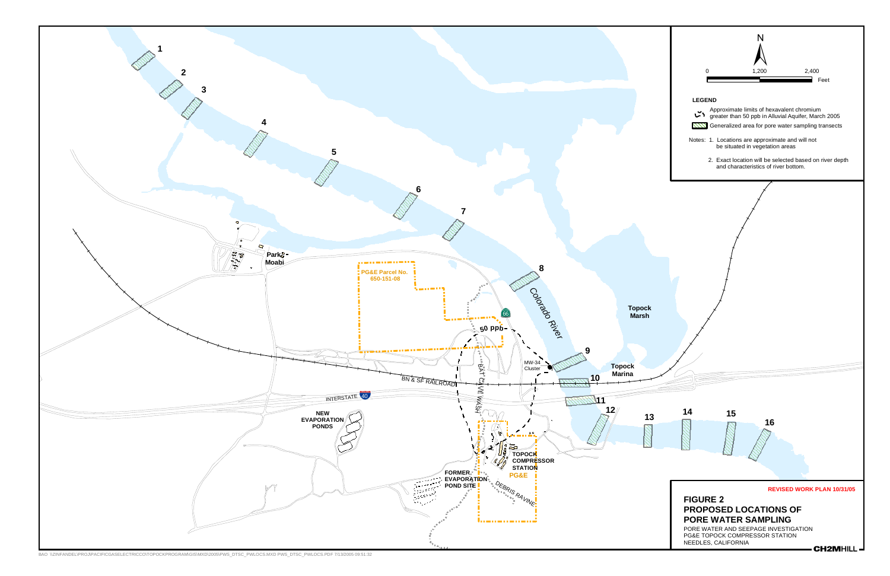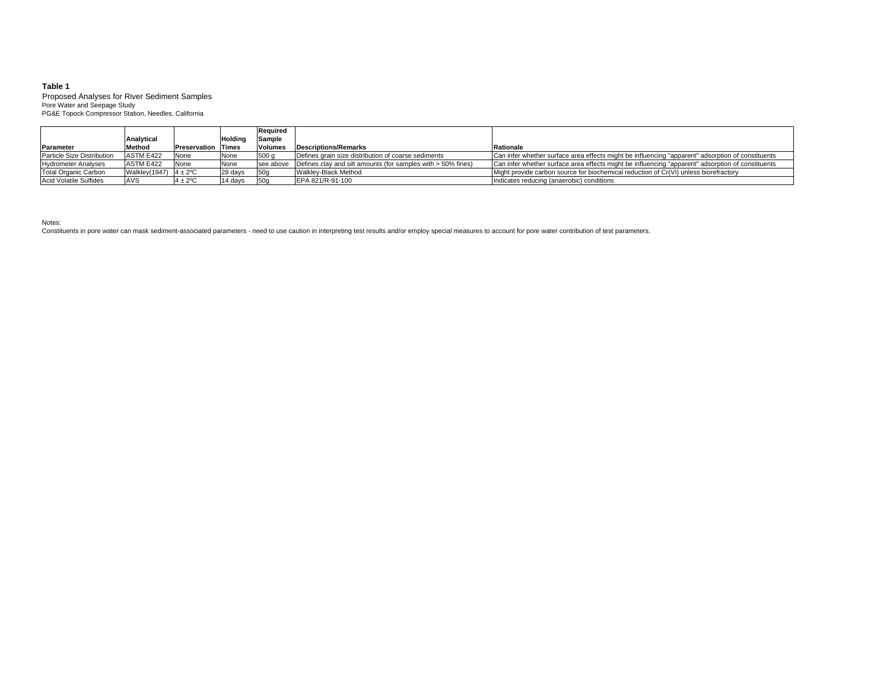#### **Table 1**

Pore Water and Seepage Study Proposed Analyses for River Sediment Samples PG&E Topock Compressor Station, Needles, California

|                               |                            |                           |          | <b>Required</b> |                                                                                  |                                                                                                   |
|-------------------------------|----------------------------|---------------------------|----------|-----------------|----------------------------------------------------------------------------------|---------------------------------------------------------------------------------------------------|
|                               | Analytical                 |                           | Holdino  | Sample          |                                                                                  |                                                                                                   |
| Parameter                     | Method                     | <b>Preservation Times</b> |          | <b>Volumes</b>  | <b>Descriptions/Remarks</b>                                                      | Rationale                                                                                         |
| Particle Size Distribution    | ASTM E422                  | None                      | None     | 500q            | Defines grain size distribution of coarse sediments                              | Can infer whether surface area effects might be influencing "apparent" adsorption of constituents |
| <b>Hydrometer Analyses</b>    | ASTM E422                  | None                      | None     |                 | see above $\vert$ Defines clay and silt amounts (for samples with $>$ 50% fines) | Can infer whether surface area effects might be influencing "apparent" adsorption of constituents |
| Total Organic Carbon          | Walkley(1947) $4 \pm 2$ °C |                           | 28 days  | 150q            | Walkley-Black Method                                                             | Might provide carbon source for biochemical reduction of Cr(VI) unless biorefractory              |
| <b>Acid Volatile Sulfides</b> | <b>AVS</b>                 | $4 \pm 2$ <sup>o</sup> C  | l14 davs | 50 <sub>a</sub> | EPA 821/R-91-100                                                                 | Indicates reducing (anaerobic) conditions                                                         |

Notes:

Constituents in pore water can mask sediment-associated parameters - need to use caution in interpreting test results and/or employ special measures to account for pore water contribution of test parameters.